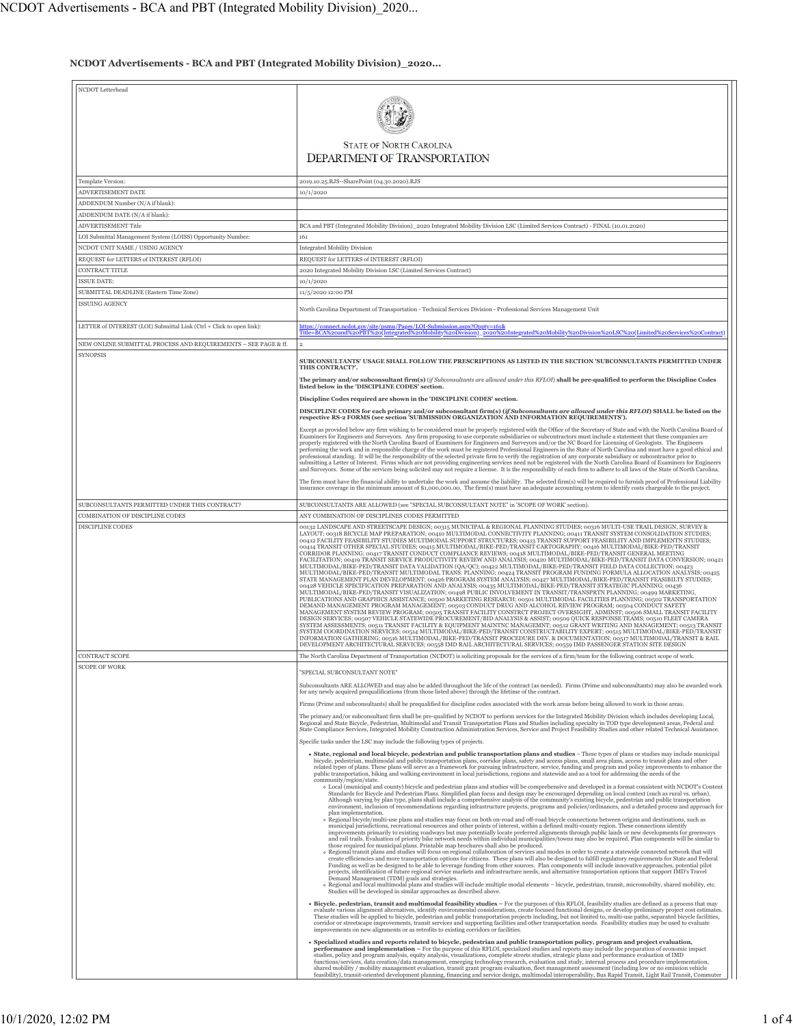## **NCDOT Advertisements - BCA and PBT (Integrated Mobility Division)\_2020...**

| NCDOT Letterhead                                                     |                                                                                                                                                                                                                                                                                                                                           |
|----------------------------------------------------------------------|-------------------------------------------------------------------------------------------------------------------------------------------------------------------------------------------------------------------------------------------------------------------------------------------------------------------------------------------|
|                                                                      |                                                                                                                                                                                                                                                                                                                                           |
|                                                                      |                                                                                                                                                                                                                                                                                                                                           |
|                                                                      |                                                                                                                                                                                                                                                                                                                                           |
|                                                                      |                                                                                                                                                                                                                                                                                                                                           |
|                                                                      | <b>STATE OF NORTH CAROLINA</b>                                                                                                                                                                                                                                                                                                            |
|                                                                      |                                                                                                                                                                                                                                                                                                                                           |
|                                                                      | <b>DEPARTMENT OF TRANSPORTATION</b>                                                                                                                                                                                                                                                                                                       |
|                                                                      |                                                                                                                                                                                                                                                                                                                                           |
| Template Version:                                                    | 2019.10.25.RJS -- SharePoint (04.30.2020).RJS                                                                                                                                                                                                                                                                                             |
| ADVERTISEMENT DATE                                                   | 10/1/2020                                                                                                                                                                                                                                                                                                                                 |
| ADDENDUM Number (N/A if blank):                                      |                                                                                                                                                                                                                                                                                                                                           |
| ADDENDUM DATE (N/A if blank):                                        |                                                                                                                                                                                                                                                                                                                                           |
| ADVERTISEMENT Title                                                  | BCA and PBT (Integrated Mobility Division) 2020 Integrated Mobility Division LSC (Limited Services Contract) - FINAL (10.01.2020)                                                                                                                                                                                                         |
| LOI Submittal Management System (LOISS) Opportunity Number:          | 161                                                                                                                                                                                                                                                                                                                                       |
| NCDOT UNIT NAME / USING AGENCY                                       | <b>Integrated Mobility Division</b>                                                                                                                                                                                                                                                                                                       |
| REQUEST for LETTERS of INTEREST (RFLOI)                              | REQUEST for LETTERS of INTEREST (RFLOI)                                                                                                                                                                                                                                                                                                   |
| CONTRACT TITLE                                                       | 2020 Integrated Mobility Division LSC (Limited Services Contract)                                                                                                                                                                                                                                                                         |
| ISSUE DATE:                                                          | 10/1/2020                                                                                                                                                                                                                                                                                                                                 |
| SUBMITTAL DEADLINE (Eastern Time Zone)                               | 11/5/2020 12:00 PM                                                                                                                                                                                                                                                                                                                        |
| <b>ISSUING AGENCY</b>                                                |                                                                                                                                                                                                                                                                                                                                           |
|                                                                      | North Carolina Department of Transportation - Technical Services Division - Professional Services Management Unit                                                                                                                                                                                                                         |
| LETTER of INTEREST (LOI) Submittal Link (Ctrl + Click to open link): | https://connect.ncdot.gov/site/psmu/Pages/LOI-Submission.aspx?Oppty=161&                                                                                                                                                                                                                                                                  |
|                                                                      | Title=BCA%2oand%2oPBT%20(Integrated%2oMobility%2oDivision) 2020%20Integrated%2oMobility%2oDivision%2oLSC%20(Limited%20Services%20Contract)                                                                                                                                                                                                |
| NEW ONLINE SUBMITTAL PROCESS AND REQUIREMENTS - SEE PAGE & ff.       | $\overline{2}$                                                                                                                                                                                                                                                                                                                            |
| <b>SYNOPSIS</b>                                                      |                                                                                                                                                                                                                                                                                                                                           |
|                                                                      | SUBCONSULTANTS' USAGE SHALL FOLLOW THE PRESCRIPTIONS AS LISTED IN THE SECTION 'SUBCONSULTANTS PERMITTED UNDER<br>THIS CONTRACT?'.                                                                                                                                                                                                         |
|                                                                      | The primary and/or subconsultant firm(s) (if Subconsultants are allowed under this RFLOI) shall be pre-qualified to perform the Discipline Codes                                                                                                                                                                                          |
|                                                                      | listed below in the 'DISCIPLINE CODES' section.                                                                                                                                                                                                                                                                                           |
|                                                                      | Discipline Codes required are shown in the 'DISCIPLINE CODES' section.                                                                                                                                                                                                                                                                    |
|                                                                      |                                                                                                                                                                                                                                                                                                                                           |
|                                                                      | DISCIPLINE CODES for each primary and/or subconsultant firm(s) (if Subconsultants are allowed under this RFLOI) SHALL be listed on the respective RS-2 FORMS (see section 'SUBMISSION ORGANIZATION AND INFORMATION REQUIREMENT                                                                                                            |
|                                                                      | Except as provided below any firm wishing to be considered must be properly registered with the Office of the Secretary of State and with the North Carolina Board of                                                                                                                                                                     |
|                                                                      | Examiners for Engineers and Surveyors. Any firm proposing to use corporate subsidiaries or subcontractors must include a statement that these companies are<br>properly registered with the North Carolina Board of Examiners for Engineers and Surveyors and/or the NC Board for Licensing of Geologists. The Engineers                  |
|                                                                      | performing the work and in responsible charge of the work must be registered Professional Engineers in the State of North Carolina and must have a good ethical and                                                                                                                                                                       |
|                                                                      | professional standing. It will be the responsibility of the selected private firm to verify the registration of any corporate subsidiary or subcontractor prior to<br>submitting a Letter of Interest. Firms which are not providing engineering services need not be registered with the North Carolina Board of Examiners for Engineers |
|                                                                      | and Surveyors. Some of the services being solicited may not require a license. It is the responsibility of each firm to adhere to all laws of the State of North Carolina.                                                                                                                                                                |
|                                                                      | The firm must have the financial ability to undertake the work and assume the liability. The selected firm(s) will be required to furnish proof of Professional Liability                                                                                                                                                                 |
|                                                                      | insurance coverage in the minimum amount of \$1,000,000.00. The firm(s) must have an adequate accounting system to identify costs chargeable to the project.                                                                                                                                                                              |
| SUBCONSULTANTS PERMITTED UNDER THIS CONTRACT?                        | SUBCONSULTANTS ARE ALLOWED (see "SPECIAL SUBCONSULTANT NOTE" in 'SCOPE OF WORK' section).                                                                                                                                                                                                                                                 |
| COMBINATION OF DISCIPLINE CODES                                      | ANY COMBINATION OF DISCIPLINES CODES PERMITTED                                                                                                                                                                                                                                                                                            |
| <b>DISCIPLINE CODES</b>                                              | 00132 LANDSCAPE AND STREETSCAPE DESIGN; 00315 MUNICIPAL & REGIONAL PLANNING STUDIES; 00316 MULTI-USE TRAIL DESIGN, SURVEY &                                                                                                                                                                                                               |
|                                                                      | LAYOUT; 00318 BICYCLE MAP PREPARATION; 00410 MULTIMODAL CONNECTIVITY PLANNING; 00411 TRANSIT SYSTEM CONSOLIDATION STUDIES;<br>00412 FACILITY FEASIBILITY STUDIES MULTIMODAL SUPPORT STRUCTURES; 00413 TRANSIT SUPPORT FEASIBILITY AND IMPLEMENTN STUDIES;                                                                                 |
|                                                                      | 00414 TRANSIT OTHER SPECIAL STUDIES; 00415 MULTIMODAL/BIKE-PED/TRANSIT CARTOGRAPHY; 00416 MULTIMODAL/BIKE-PED/TRANSIT                                                                                                                                                                                                                     |
|                                                                      | CORRIDOR PLANNING: 00417 TRANSIT CONDUCT COMPLIANCE REVIEWS; 00418 MULTIMODAL/BIKE-PED/TRANSIT GENERAL MEETING<br>FACILITATION: 00419 TRANSIT CONDUCT COMPLIANCE REVIEWS; 00418 MULTIMODAL/BIKE-PED/TRANSIT GENERAL MEETING<br>FACIL                                                                                                      |
|                                                                      |                                                                                                                                                                                                                                                                                                                                           |
|                                                                      | MULTIMODAL/BIKE-PED/TRANSIT MULTIMODAL TRANS. PLANNING; 00424 TRANSIT PROGRAM FUNDING FORMULA ALLOCATION ANALYSIS; 00425<br>STATE MANAGEMENT PLAN DEVELOPMENT; 00426 PROGRAM SYSTEM ANALYSIS; 00427 MULTIMODAL/BIKE-PED/TRANSIT FEASIBILTY STUDIES;                                                                                       |
|                                                                      | 00428 VEHICLE SPECIFICATION PREPARATION AND ANALYSIS; 00435 MULTIMODAL/BIKE-PED/TRANSIT STRATEGIC PLANNING; 00436<br>MULTIMODAL/BIKE-PED/TRANSIT VISUALIZATION; 00498 PUBLIC INVOLVEMENT IN TRANSIT/TRANSPRTN PLANNING; 00499 MAR                                                                                                         |
|                                                                      | PUBLICATIONS AND GRAPHICS ASSISTANCE; 00500 MARKETING RESEARCH; 00501 MULTIMODAL FACILITIES PLANNING; 00502 TRANSPORTATION<br>DEMAND MANAGEMENT PROGRAM MANAGEMENT; 00503 CONDUCT DRUG AND ALCOHOL REVIEW PROGRAM; 00504 CONDUCT SAFETY                                                                                                   |
|                                                                      | MANAGEMENT SYSTEM REVIEW PROGRAM; 00505 TRANSIT FACILITY CONSTRCT PROJECT OVERSIGHT, ADMINST; 00506 SMALL TRANSIT FACILITY                                                                                                                                                                                                                |
|                                                                      | DESIGN SERVICES; 00507 VEHICLE STATEWIDE PROCUREMENT/BID ANALYSIS & ASSIST; 00509 QUICK RESPONSE TEAMS; 00510 FLEET CAMERA<br>SYSTEM ASSESSMENTS; 00511 TRANSIT FACILITY & EQUIPMENT MAINTNC MANAGEMNT; 00512 GRANT WRITING AND MANAGEMENT; 00513 TRANSIT                                                                                 |
|                                                                      | SYSTEM COORDINATION SERVICES; 00514 MULTIMODAL/BIKE-PED/TRANSIT CONSTRUCTABILITY EXPERT; 00515 MULTIMODAL/BIKE-PED/TRANSIT                                                                                                                                                                                                                |
|                                                                      | INFORMATION GATHERING; 00516 MULTIMODAL/BIKE-PED/TRANSIT PROCEDURE DEV. & DOCUMENTATION; 00517 MULTIMODAL/TRANSIT & RAIL<br>DEVELOPMENT ARCHITECTURAL SERVICES; 00558 IMD RAIL ARCHITECTURAL SERVICES; 00559 IMD PASSENGER STATION SITE DESIGN                                                                                            |
| <b>CONTRACT SCOPE</b>                                                | The North Carolina Department of Transportation (NCDOT) is soliciting proposals for the services of a firm/team for the following contract scope of work.                                                                                                                                                                                 |
| <b>SCOPE OF WORK</b>                                                 |                                                                                                                                                                                                                                                                                                                                           |
|                                                                      | "SPECIAL SUBCONSULTANT NOTE"                                                                                                                                                                                                                                                                                                              |
|                                                                      | Subconsultants ARE ALLOWED and may also be added throughout the life of the contract (as needed). Firms (Prime and subconsultants) may also be awarded work                                                                                                                                                                               |
|                                                                      | for any newly acquired prequalifications (from those listed above) through the lifetime of the contract.                                                                                                                                                                                                                                  |
|                                                                      | Firms (Prime and subconsultants) shall be prequalified for discipline codes associated with the work areas before being allowed to work in those areas.                                                                                                                                                                                   |
|                                                                      | The primary and/or subconsultant firm shall be pre-qualified by NCDOT to perform services for the Integrated Mobility Division which includes developing Local,                                                                                                                                                                           |
|                                                                      | Regional and State Bicycle, Pedestrian, Multimodal and Transit Transportation Plans and Studies including specialty in TOD type development areas, Federal and<br>State Compliance Services, Integrated Mobility Construction Administration Services, Service and Project Feasibility Studies and other related Technical Assistance.    |
|                                                                      | Specific tasks under the LSC may include the following types of projects.                                                                                                                                                                                                                                                                 |
|                                                                      |                                                                                                                                                                                                                                                                                                                                           |
|                                                                      | · State, regional and local bicycle, pedestrian and public transportation plans and studies - These types of plans or studies may include municipal<br>bicycle, pedestrian, multimodal and public transportation plans, corridor plans, safety and access plans, small area plans, access to transit plans and other                      |
|                                                                      | related types of plans. These plans will serve as a framework for pursuing infrastructure, service, funding and program and policy improvements to enhance the<br>public transportation, biking and walking environment in local jurisdictions, regions and statewide and as a tool for addressing the needs of the                       |
|                                                                      | community/region/state.                                                                                                                                                                                                                                                                                                                   |
|                                                                      | o Local (municipal and county) bicycle and pedestrian plans and studies will be comprehensive and developed in a format consistent with NCDOT's Content<br>Standards for Bicycle and Pedestrian Plans. Simplified plan focus and design may be encouraged depending on local context (such as rural vs. urban).                           |
|                                                                      | Although varying by plan type, plans shall include a comprehensive analysis of the community's existing bicycle, pedestrian and public transportation<br>environment, inclusion of recommendations regarding infrastructure projects, programs and policies/ordinances, and a detailed process and approach for                           |
|                                                                      | plan implementation.                                                                                                                                                                                                                                                                                                                      |
|                                                                      | o Regional bicycle/multi-use plans and studies may focus on both on-road and off-road bicycle connections between origins and destinations, such as<br>municipal jurisdictions, recreational resources and other points of interest, within a defined multi-county region. These connections identify                                     |
|                                                                      | improvements primarily to existing roadways but may potentially locate preferred alignments through public lands or new developments for greenways<br>and rail trails. Evaluation of priority bike network needs within individual municipalities/towns may also be required. Plan components will be similar to                          |
|                                                                      | those required for municipal plans. Printable map brochures shall also be produced.                                                                                                                                                                                                                                                       |
|                                                                      | o Regional transit plans and studies will focus on regional collaboration of services and modes in order to create a statewide connected network that will<br>create efficiencies and more transportation options for citizens. These plans will also be designed to fulfill regulatory requirements for State and Federal                |
|                                                                      | Funding as well as be designed to be able to leverage funding from other sources. Plan components will include innovative approaches, potential pilot<br>projects, identification of future regional service markets and infrastructure needs, and alternative transportation options that support IMD's Travel                           |
|                                                                      | Demand Management (TDM) goals and strategies.                                                                                                                                                                                                                                                                                             |
|                                                                      | o Regional and local multimodal plans and studies will include multiple modal elements - bicycle, pedestrian, transit, micromobilty, shared mobility, etc.<br>Studies will be developed in similar approaches as described above.                                                                                                         |
|                                                                      |                                                                                                                                                                                                                                                                                                                                           |
|                                                                      | · Bicycle, pedestrian, transit and multimodal feasibility studies - For the purposes of this RFLOI, feasibility studies are defined as a process that may<br>evaluate various alignment alternatives, identify environmental considerations, create focused functional designs, or develop preliminary project cost estimates.            |
|                                                                      | These studies will be applied to bicycle, pedestrian and public transportation projects including, but not limited to, multi-use paths, separated bicycle facilities,<br>corridor or streetscape improvements, transit services and supporting facilities and other transportation needs. Feasibility studies may be used to evaluate     |
|                                                                      | improvements on new alignments or as retrofits to existing corridors or facilities.                                                                                                                                                                                                                                                       |
|                                                                      | · Specialized studies and reports related to bicycle, pedestrian and public transportation policy, program and project evaluation,                                                                                                                                                                                                        |
|                                                                      | performance and implementation - For the purpose of this RFLOI, specialized studies and reports may include the preparation of economic impact<br>studies, policy and program analysis, equity analysis, visualizations, complete streets studies, strategic plans and performance evaluation of IMD                                      |
|                                                                      | functions/services, data creation/data management, emerging technology research, evaluation and study, internal process and procedure implementation,<br>shared mobility / mobility management evaluation, transit grant program evaluation, fleet management assessment (including low or no emission vehicle                            |
|                                                                      | feasibility), transit-oriented development planning, financing and service design, multimodal interoperability, Bus Rapid Transit, Light Rail Transit, Commuter                                                                                                                                                                           |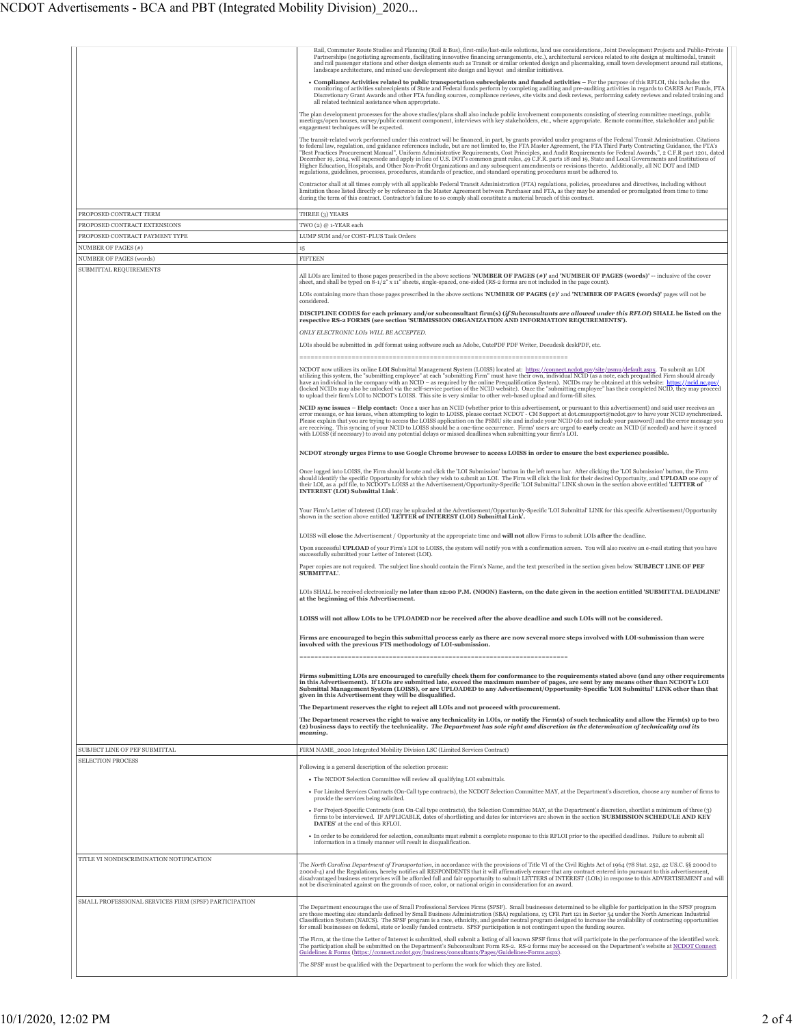|                                                           | Rail, Commuter Route Studies and Planning (Rail & Bus), first-mile/last-mile solutions, land use considerations, Joint Development Projects and Public-Private<br>Partnerships (negotiating agreements, facilitating innovative financing arrangements, etc.), architectural services related to site design at multimodal, transit<br>and rail passenger stations and other design elements such as Transit or similar oriented design and placemaking, small town development around rail stations,<br>landscape architecture, and mixed use development site design and layout and similar initiatives.<br>• Compliance Activities related to public transportation subrecipients and funded activities - For the purpose of this RFLOI, this includes the<br>moniforing of activities subrecipients of State and Federal funds perform by completing auditing and pre-auditing activities in regards to CARES Act Funds, FTA<br>Discretionary Grant Awards and other FTA funding sources, compliance reviews, site visits and desk reviews, performing safety reviews and related training and<br>all related technical assistance when appropriate.<br>The plan development processes for the above studies/plans shall also include public involvement components consisting of steering committee meetings, public<br>meetings/open houses, survey/public comment component, interviews with key stakeholders, etc., where appropriate. Remote committee, stakeholder and public<br>engagement techniques will be expected.<br>The transit-related work performed under this contract will be financed, in part, by grants provided under programs of the Federal Transit Administration. Citations<br>to federal law, regulation, and guidance references include, but are not limited to, the FTA Master Agreement, the FTA Third Party Contracting Guidance, the FTA's<br>"Best Practices Procurement Manual", Uniform Administrative Requirements, Cost Principles, and Audit Requirements for Federal Awards,", 2 C.F.R part 1201, dated<br>December 19, 2014, will supersede and apply in lieu of U.S. DOT's common grant rules, 49 C.F.R. parts 18 and 19, State and Local Governments and Institutions of<br>Higher Education, Hospitals, and Other Non-Profit Organizations and any subsequent amendments or revisions thereto. Additionally, all NC DOT and IMD<br>regulations, guidelines, processes, procedures, standards of practice, and standard operating procedures must be adhered to.<br>Contractor shall at all times comply with all applicable Federal Transit Administration (FTA) regulations, policies, procedures and directives, including without<br>limitation those listed directly or by reference in the Master Agreement between Purchaser and FTA, as they may be amended or promulgated from time to time |
|-----------------------------------------------------------|------------------------------------------------------------------------------------------------------------------------------------------------------------------------------------------------------------------------------------------------------------------------------------------------------------------------------------------------------------------------------------------------------------------------------------------------------------------------------------------------------------------------------------------------------------------------------------------------------------------------------------------------------------------------------------------------------------------------------------------------------------------------------------------------------------------------------------------------------------------------------------------------------------------------------------------------------------------------------------------------------------------------------------------------------------------------------------------------------------------------------------------------------------------------------------------------------------------------------------------------------------------------------------------------------------------------------------------------------------------------------------------------------------------------------------------------------------------------------------------------------------------------------------------------------------------------------------------------------------------------------------------------------------------------------------------------------------------------------------------------------------------------------------------------------------------------------------------------------------------------------------------------------------------------------------------------------------------------------------------------------------------------------------------------------------------------------------------------------------------------------------------------------------------------------------------------------------------------------------------------------------------------------------------------------------------------------------------------------------------------------------------------------------------------------------------------------------------------------------------------------------------------------------------------------------------------------------------------------------------------------------------------------------------------------------------------------------------------------------------------------------------------------------------------------------------------------------------------------|
|                                                           | during the term of this contract. Contractor's failure to so comply shall constitute a material breach of this contract.                                                                                                                                                                                                                                                                                                                                                                                                                                                                                                                                                                                                                                                                                                                                                                                                                                                                                                                                                                                                                                                                                                                                                                                                                                                                                                                                                                                                                                                                                                                                                                                                                                                                                                                                                                                                                                                                                                                                                                                                                                                                                                                                                                                                                                                                                                                                                                                                                                                                                                                                                                                                                                                                                                                             |
| PROPOSED CONTRACT TERM<br>PROPOSED CONTRACT EXTENSIONS    | THREE (3) YEARS<br>TWO (2) @ 1-YEAR each                                                                                                                                                                                                                                                                                                                                                                                                                                                                                                                                                                                                                                                                                                                                                                                                                                                                                                                                                                                                                                                                                                                                                                                                                                                                                                                                                                                                                                                                                                                                                                                                                                                                                                                                                                                                                                                                                                                                                                                                                                                                                                                                                                                                                                                                                                                                                                                                                                                                                                                                                                                                                                                                                                                                                                                                             |
| PROPOSED CONTRACT PAYMENT TYPE                            | LUMP SUM and/or COST-PLUS Task Orders                                                                                                                                                                                                                                                                                                                                                                                                                                                                                                                                                                                                                                                                                                                                                                                                                                                                                                                                                                                                                                                                                                                                                                                                                                                                                                                                                                                                                                                                                                                                                                                                                                                                                                                                                                                                                                                                                                                                                                                                                                                                                                                                                                                                                                                                                                                                                                                                                                                                                                                                                                                                                                                                                                                                                                                                                |
| NUMBER OF PAGES (#)<br>NUMBER OF PAGES (words)            | 15<br><b>FIFTEEN</b>                                                                                                                                                                                                                                                                                                                                                                                                                                                                                                                                                                                                                                                                                                                                                                                                                                                                                                                                                                                                                                                                                                                                                                                                                                                                                                                                                                                                                                                                                                                                                                                                                                                                                                                                                                                                                                                                                                                                                                                                                                                                                                                                                                                                                                                                                                                                                                                                                                                                                                                                                                                                                                                                                                                                                                                                                                 |
| SUBMITTAL REQUIREMENTS                                    | All LOIs are limited to those pages prescribed in the above sections 'NUMBER OF PAGES (#)' and 'NUMBER OF PAGES (words)' -- inclusive of the cover<br>sheet, and shall be typed on 8-1/2" x 11" sheets, single-spaced, one-sided (RS-2 forms are not included in the page count).<br>LOIs containing more than those pages prescribed in the above sections 'NUMBER OF PAGES (#)' and 'NUMBER OF PAGES (words)' pages will not be<br>considered.<br>DISCIPLINE CODES for each primary and/or subconsultant firm(s) (if Subconsultants are allowed under this RFLOI) SHALL be listed on the<br>respective RS-2 FORMS (see section 'SUBMISSION ORGANIZATION AND INFORMATION REQUIREMENTS').<br>ONLY ELECTRONIC LOIS WILL BE ACCEPTED.<br>LOIs should be submitted in .pdf format using software such as Adobe, CutePDF PDF Writer, Docudesk deskPDF, etc.<br>NCDOT now utilizes its online LOI Submittal Management System (LOISS) located at: https://connect.ncdot.gov/site/psmu/default.aspx. To submit an LOI                                                                                                                                                                                                                                                                                                                                                                                                                                                                                                                                                                                                                                                                                                                                                                                                                                                                                                                                                                                                                                                                                                                                                                                                                                                                                                                                                                                                                                                                                                                                                                                                                                                                                                                                                                                                                                      |
|                                                           | utilizing this system, the "submitting employee" at each "submitting Firm" must have their own, individual NCID (as a note, each prequalified Firm should already<br>have an individual in the company with an NCID - as required by the online Prequalification System). NCIDs may be obtained at this website: https://ncid.nc.gov/<br>(locked NCIDs may also be unlocked via the self-service portion of the NCID website). Once the "submitting employee" has their completed NCID, they may proceed<br>to upload their firm's LOI to NCDOT's LOISS. This site is very similar to other web-based upload and form-fill sites.<br>NCID sync issues - Help contact: Once a user has an NCID (whether prior to this advertisement, or pursuant to this advertisement) and said user receives an<br>error message, or has issues, when attempting to login to LOISS, please contact NCDOT - CM Support at dot.cmsupport@ncdot.gov to have your NCID synchronized.<br>Please explain that you are trying to access the LOISS application on the PSMU site and include your NCID (do not include your password) and the error message you<br>are receiving. This syncing of your NCID to LOISS should be a one-time occurrence. Firms' users are urged to early create an NCID (if needed) and have it synced<br>with LOISS (if necessary) to avoid any potential delays or missed deadlines when submitting your firm's LOI.                                                                                                                                                                                                                                                                                                                                                                                                                                                                                                                                                                                                                                                                                                                                                                                                                                                                                                                                                                                                                                                                                                                                                                                                                                                                                                                                                                                                                          |
|                                                           | NCDOT strongly urges Firms to use Google Chrome browser to access LOISS in order to ensure the best experience possible.                                                                                                                                                                                                                                                                                                                                                                                                                                                                                                                                                                                                                                                                                                                                                                                                                                                                                                                                                                                                                                                                                                                                                                                                                                                                                                                                                                                                                                                                                                                                                                                                                                                                                                                                                                                                                                                                                                                                                                                                                                                                                                                                                                                                                                                                                                                                                                                                                                                                                                                                                                                                                                                                                                                             |
|                                                           | Once logged into LOISS, the Firm should locate and click the 'LOI Submission' button in the left menu bar. After clicking the 'LOI Submission' button, the Firm<br>should identify the specific Opportunity for which they wish to submit an LOI. The Firm will click the link for their desired Opportunity, and UPLOAD one copy of<br>their LOI, as a .pdf file, to NCDOT's LOISS at the Advertisement/Opportunity-Specific 'LOI Submittal' LINK shown in the section above entitled 'LETTER of<br>INTEREST (LOI) Submittal Link'.                                                                                                                                                                                                                                                                                                                                                                                                                                                                                                                                                                                                                                                                                                                                                                                                                                                                                                                                                                                                                                                                                                                                                                                                                                                                                                                                                                                                                                                                                                                                                                                                                                                                                                                                                                                                                                                                                                                                                                                                                                                                                                                                                                                                                                                                                                                 |
|                                                           | Your Firm's Letter of Interest (LOI) may be uploaded at the Advertisement/Opportunity-Specific 'LOI Submittal' LINK for this specific Advertisement/Opportunity<br>shown in the section above entitled 'LETTER of INTEREST (LOI) Submittal Link'.                                                                                                                                                                                                                                                                                                                                                                                                                                                                                                                                                                                                                                                                                                                                                                                                                                                                                                                                                                                                                                                                                                                                                                                                                                                                                                                                                                                                                                                                                                                                                                                                                                                                                                                                                                                                                                                                                                                                                                                                                                                                                                                                                                                                                                                                                                                                                                                                                                                                                                                                                                                                    |
|                                                           | LOISS will close the Advertisement / Opportunity at the appropriate time and will not allow Firms to submit LOIs after the deadline.<br>Upon successful UPLOAD of your Firm's LOI to LOISS, the system will notify you with a confirmation screen. You will also receive an e-mail stating that you have<br>successfully submitted your Letter of Interest (LOI).                                                                                                                                                                                                                                                                                                                                                                                                                                                                                                                                                                                                                                                                                                                                                                                                                                                                                                                                                                                                                                                                                                                                                                                                                                                                                                                                                                                                                                                                                                                                                                                                                                                                                                                                                                                                                                                                                                                                                                                                                                                                                                                                                                                                                                                                                                                                                                                                                                                                                    |
|                                                           | Paper copies are not required. The subject line should contain the Firm's Name, and the text prescribed in the section given below 'SUBJECT LINE OF PEF<br>SUBMITTAL'.                                                                                                                                                                                                                                                                                                                                                                                                                                                                                                                                                                                                                                                                                                                                                                                                                                                                                                                                                                                                                                                                                                                                                                                                                                                                                                                                                                                                                                                                                                                                                                                                                                                                                                                                                                                                                                                                                                                                                                                                                                                                                                                                                                                                                                                                                                                                                                                                                                                                                                                                                                                                                                                                               |
|                                                           | LOIs SHALL be received electronically no later than 12:00 P.M. (NOON) Eastern, on the date given in the section entitled 'SUBMITTAL DEADLINE'<br>at the beginning of this Advertisement.                                                                                                                                                                                                                                                                                                                                                                                                                                                                                                                                                                                                                                                                                                                                                                                                                                                                                                                                                                                                                                                                                                                                                                                                                                                                                                                                                                                                                                                                                                                                                                                                                                                                                                                                                                                                                                                                                                                                                                                                                                                                                                                                                                                                                                                                                                                                                                                                                                                                                                                                                                                                                                                             |
|                                                           | LOISS will not allow LOIs to be UPLOADED nor be received after the above deadline and such LOIs will not be considered.                                                                                                                                                                                                                                                                                                                                                                                                                                                                                                                                                                                                                                                                                                                                                                                                                                                                                                                                                                                                                                                                                                                                                                                                                                                                                                                                                                                                                                                                                                                                                                                                                                                                                                                                                                                                                                                                                                                                                                                                                                                                                                                                                                                                                                                                                                                                                                                                                                                                                                                                                                                                                                                                                                                              |
|                                                           | Firms are encouraged to begin this submittal process early as there are now several more steps involved with LOI-submission than were<br>involved with the previous FTS methodology of LOI-submission.                                                                                                                                                                                                                                                                                                                                                                                                                                                                                                                                                                                                                                                                                                                                                                                                                                                                                                                                                                                                                                                                                                                                                                                                                                                                                                                                                                                                                                                                                                                                                                                                                                                                                                                                                                                                                                                                                                                                                                                                                                                                                                                                                                                                                                                                                                                                                                                                                                                                                                                                                                                                                                               |
|                                                           | Firms submitting LOIs are encouraged to carefully check them for conformance to the requirements stated above (and any other requirements<br>in this Advertisement). If LOIs are submitted late, exceed the maximum number of pages, are sent by any means other than NCDOT's LOI<br>Submittal Management System (LOISS), or are UPLOADED to any Advertisement/Opportunity-Specific 'LOI Submittal' LINK other than that<br>given in this Advertisement they will be disqualified.<br>The Department reserves the right to reject all LOIs and not proceed with procurement.                                                                                                                                                                                                                                                                                                                                                                                                                                                                                                                                                                                                                                                                                                                                                                                                                                                                                                                                                                                                                                                                                                                                                                                                                                                                                                                                                                                                                                                                                                                                                                                                                                                                                                                                                                                                                                                                                                                                                                                                                                                                                                                                                                                                                                                                         |
|                                                           | The Department reserves the right to waive any technicality in LOIs, or notify the Firm(s) of such technicality and allow the Firm(s) up to two<br>(2) business days to rectify the technicality. The Department has sole right and discretion in the determination of technicality and its                                                                                                                                                                                                                                                                                                                                                                                                                                                                                                                                                                                                                                                                                                                                                                                                                                                                                                                                                                                                                                                                                                                                                                                                                                                                                                                                                                                                                                                                                                                                                                                                                                                                                                                                                                                                                                                                                                                                                                                                                                                                                                                                                                                                                                                                                                                                                                                                                                                                                                                                                          |
|                                                           | meaning.                                                                                                                                                                                                                                                                                                                                                                                                                                                                                                                                                                                                                                                                                                                                                                                                                                                                                                                                                                                                                                                                                                                                                                                                                                                                                                                                                                                                                                                                                                                                                                                                                                                                                                                                                                                                                                                                                                                                                                                                                                                                                                                                                                                                                                                                                                                                                                                                                                                                                                                                                                                                                                                                                                                                                                                                                                             |
| SUBJECT LINE OF PEF SUBMITTAL<br><b>SELECTION PROCESS</b> | FIRM NAME 2020 Integrated Mobility Division LSC (Limited Services Contract)                                                                                                                                                                                                                                                                                                                                                                                                                                                                                                                                                                                                                                                                                                                                                                                                                                                                                                                                                                                                                                                                                                                                                                                                                                                                                                                                                                                                                                                                                                                                                                                                                                                                                                                                                                                                                                                                                                                                                                                                                                                                                                                                                                                                                                                                                                                                                                                                                                                                                                                                                                                                                                                                                                                                                                          |
|                                                           | Following is a general description of the selection process:<br>• The NCDOT Selection Committee will review all qualifying LOI submittals.<br>• For Limited Services Contracts (On-Call type contracts), the NCDOT Selection Committee MAY, at the Department's discretion, choose any number of firms to<br>provide the services being solicited.<br>· For Project-Specific Contracts (non On-Call type contracts), the Selection Committee MAY, at the Department's discretion, shortlist a minimum of three (3)<br>firms to be interviewed. IF APPLICABLE, dates of shortlisting and dates for interviews are shown in the section 'SUBMISSION SCHEDULE AND KEY<br><b>DATES'</b> at the end of this RFLOI.<br>· In order to be considered for selection, consultants must submit a complete response to this RFLOI prior to the specified deadlines. Failure to submit all<br>information in a timely manner will result in disqualification.                                                                                                                                                                                                                                                                                                                                                                                                                                                                                                                                                                                                                                                                                                                                                                                                                                                                                                                                                                                                                                                                                                                                                                                                                                                                                                                                                                                                                                                                                                                                                                                                                                                                                                                                                                                                                                                                                                     |
| TITLE VI NONDISCRIMINATION NOTIFICATION                   | The North Carolina Department of Transportation, in accordance with the provisions of Title VI of the Civil Rights Act of 1964 (78 Stat. 252, 42 US.C. §§ 2000d to<br>2000d-4) and the Regulations, hereby notifies all RESPONDENTS that it will affirmatively ensure that any contract entered into pursuant to this advertisement,                                                                                                                                                                                                                                                                                                                                                                                                                                                                                                                                                                                                                                                                                                                                                                                                                                                                                                                                                                                                                                                                                                                                                                                                                                                                                                                                                                                                                                                                                                                                                                                                                                                                                                                                                                                                                                                                                                                                                                                                                                                                                                                                                                                                                                                                                                                                                                                                                                                                                                                 |
| SMALL PROFESSIONAL SERVICES FIRM (SPSF) PARTICIPATION     | disadvantaged business enterprises will be afforded full and fair opportunity to submit LETTERS of INTEREST (LOIs) in response to this ADVERTISEMENT and will<br>not be discriminated against on the grounds of race, color, or national origin in consideration for an award.<br>The Department encourages the use of Small Professional Services Firms (SPSF). Small businesses determined to be eligible for participation in the SPSF program<br>are those meeting size standards defined by Small Business Administration (SBA) regulations, 13 CFR Part 121 in Sector 54 under the North American Industrial<br>Classification System (NAICS). The SPSF program is a race, ethnicity, and gender neutral program designed to increase the availability of contracting opportunities<br>for small businesses on federal, state or locally funded contracts. SPSF participation is not contingent upon the funding source.<br>The Firm, at the time the Letter of Interest is submitted, shall submit a listing of all known SPSF firms that will participate in the performance of the identified work.                                                                                                                                                                                                                                                                                                                                                                                                                                                                                                                                                                                                                                                                                                                                                                                                                                                                                                                                                                                                                                                                                                                                                                                                                                                                                                                                                                                                                                                                                                                                                                                                                                                                                                                                         |
|                                                           | The participation shall be submitted on the Department's Subconsultant Form RS-2. RS-2 forms may be accessed on the Department's website at NCDOT Connect<br>Guidelines & Forms (https://connect.ncdot.gov/business/consultants/Pages/Guidelines-Forms.aspx)<br>The SPSF must be qualified with the Department to perform the work for which they are listed.                                                                                                                                                                                                                                                                                                                                                                                                                                                                                                                                                                                                                                                                                                                                                                                                                                                                                                                                                                                                                                                                                                                                                                                                                                                                                                                                                                                                                                                                                                                                                                                                                                                                                                                                                                                                                                                                                                                                                                                                                                                                                                                                                                                                                                                                                                                                                                                                                                                                                        |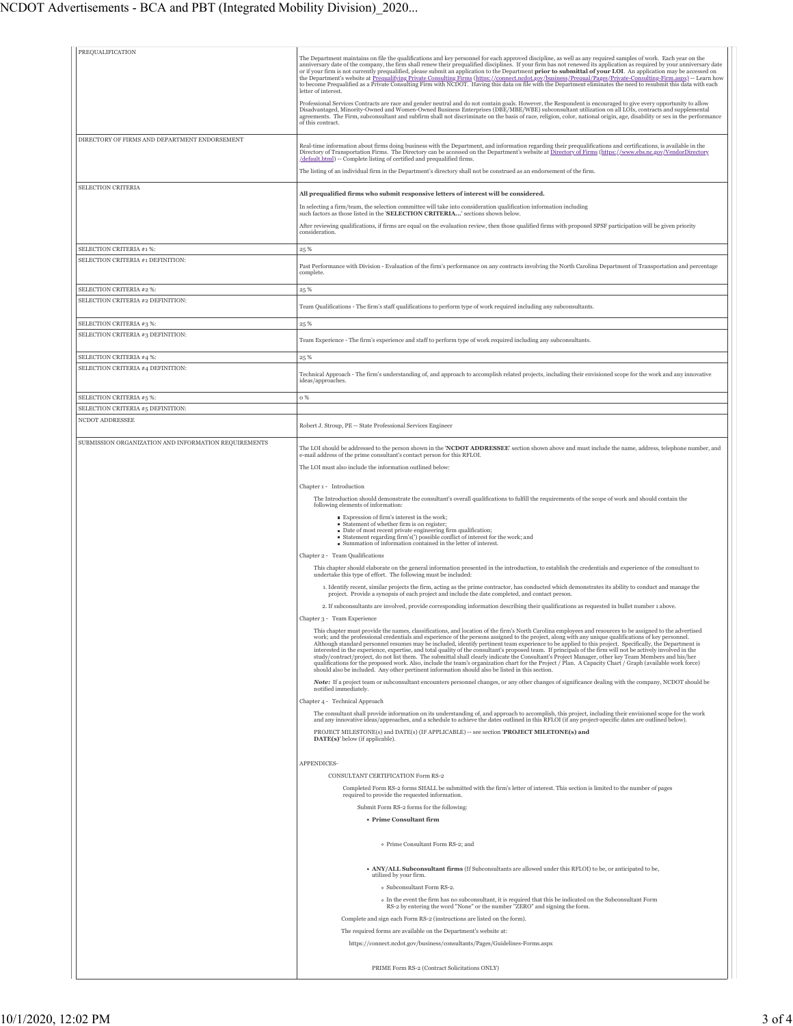| PREQUALIFICATION                                     | The Department maintains on file the qualifications and key personnel for each approved discipline, as well as any required samples of work. Each year on the<br>anniversary date of the company, the firm shall renew their prequalified disciplines. If your firm has not renewed its application as required by your anniversary date<br>or if your firm is not currently prequalified, please submit an application to the Department prior to submittal of your LOI. An application may be accessed on<br>the Department's website at Prequalifying Private Consulting Firms (https://connect.ncdot.gov/business/Prequal/Pages/Private-Consulting-Firm.aspx) -- Learn how<br>to become Prequalified as a Private Consulting Firm with NCDOT. Having this data on file with the Department eliminates the need to resubmit this data with each<br>letter of interest.                                                                                                                                                                                         |
|------------------------------------------------------|-------------------------------------------------------------------------------------------------------------------------------------------------------------------------------------------------------------------------------------------------------------------------------------------------------------------------------------------------------------------------------------------------------------------------------------------------------------------------------------------------------------------------------------------------------------------------------------------------------------------------------------------------------------------------------------------------------------------------------------------------------------------------------------------------------------------------------------------------------------------------------------------------------------------------------------------------------------------------------------------------------------------------------------------------------------------|
|                                                      | Professional Services Contracts are race and gender neutral and do not contain goals. However, the Respondent is encouraged to give every opportunity to allow<br>Disadvantaged, Minority-Owned and Women-Owned Business Enterprises (DBE/MBE/WBE) subconsultant utilization on all LOIs, contracts and supplemental<br>agreements. The Firm, subconsultant and subfirm shall not discriminate on the basis of race, religion, color, national origin, age, disability or sex in the performance<br>of this contract.                                                                                                                                                                                                                                                                                                                                                                                                                                                                                                                                             |
| DIRECTORY OF FIRMS AND DEPARTMENT ENDORSEMENT        | Real-time information about firms doing business with the Department, and information regarding their prequalifications and certifications, is available in the<br>Directory of Transportation Firms. The Directory can be accessed on the Department's website at Directory of Firms (https://www.ebs.nc.gov/VendorDirectory<br>/default.html) -- Complete listing of certified and prequalified firms.<br>The listing of an individual firm in the Department's directory shall not be construed as an endorsement of the firm.                                                                                                                                                                                                                                                                                                                                                                                                                                                                                                                                 |
| SELECTION CRITERIA                                   | All prequalified firms who submit responsive letters of interest will be considered.                                                                                                                                                                                                                                                                                                                                                                                                                                                                                                                                                                                                                                                                                                                                                                                                                                                                                                                                                                              |
|                                                      | In selecting a firm/team, the selection committee will take into consideration qualification information including                                                                                                                                                                                                                                                                                                                                                                                                                                                                                                                                                                                                                                                                                                                                                                                                                                                                                                                                                |
|                                                      | such factors as those listed in the 'SELECTION CRITERIA' sections shown below.<br>After reviewing qualifications, if firms are equal on the evaluation review, then those qualified firms with proposed SPSF participation will be given priority<br>consideration.                                                                                                                                                                                                                                                                                                                                                                                                                                                                                                                                                                                                                                                                                                                                                                                               |
| SELECTION CRITERIA #1 %:                             | 25 %                                                                                                                                                                                                                                                                                                                                                                                                                                                                                                                                                                                                                                                                                                                                                                                                                                                                                                                                                                                                                                                              |
| SELECTION CRITERIA #1 DEFINITION:                    | Past Performance with Division - Evaluation of the firm's performance on any contracts involving the North Carolina Department of Transportation and percentage<br>complete.                                                                                                                                                                                                                                                                                                                                                                                                                                                                                                                                                                                                                                                                                                                                                                                                                                                                                      |
| SELECTION CRITERIA #2 %:                             | 25 %                                                                                                                                                                                                                                                                                                                                                                                                                                                                                                                                                                                                                                                                                                                                                                                                                                                                                                                                                                                                                                                              |
| SELECTION CRITERIA #2 DEFINITION:                    | Team Qualifications - The firm's staff qualifications to perform type of work required including any subconsultants.                                                                                                                                                                                                                                                                                                                                                                                                                                                                                                                                                                                                                                                                                                                                                                                                                                                                                                                                              |
| SELECTION CRITERIA #3 %:                             | 25 %                                                                                                                                                                                                                                                                                                                                                                                                                                                                                                                                                                                                                                                                                                                                                                                                                                                                                                                                                                                                                                                              |
| SELECTION CRITERIA #3 DEFINITION:                    | Team Experience - The firm's experience and staff to perform type of work required including any subconsultants.                                                                                                                                                                                                                                                                                                                                                                                                                                                                                                                                                                                                                                                                                                                                                                                                                                                                                                                                                  |
| SELECTION CRITERIA #4 %:                             | 25 %                                                                                                                                                                                                                                                                                                                                                                                                                                                                                                                                                                                                                                                                                                                                                                                                                                                                                                                                                                                                                                                              |
| SELECTION CRITERIA #4 DEFINITION:                    | Technical Approach - The firm's understanding of, and approach to accomplish related projects, including their envisioned scope for the work and any innovative<br>ideas/approaches.                                                                                                                                                                                                                                                                                                                                                                                                                                                                                                                                                                                                                                                                                                                                                                                                                                                                              |
| SELECTION CRITERIA #5 %:                             | o %                                                                                                                                                                                                                                                                                                                                                                                                                                                                                                                                                                                                                                                                                                                                                                                                                                                                                                                                                                                                                                                               |
| SELECTION CRITERIA #5 DEFINITION:<br>NCDOT ADDRESSEE |                                                                                                                                                                                                                                                                                                                                                                                                                                                                                                                                                                                                                                                                                                                                                                                                                                                                                                                                                                                                                                                                   |
|                                                      | Robert J. Stroup, PE -- State Professional Services Engineer                                                                                                                                                                                                                                                                                                                                                                                                                                                                                                                                                                                                                                                                                                                                                                                                                                                                                                                                                                                                      |
| SUBMISSION ORGANIZATION AND INFORMATION REQUIREMENTS | The LOI should be addressed to the person shown in the 'NCDOT ADDRESSEE' section shown above and must include the name, address, telephone number, and                                                                                                                                                                                                                                                                                                                                                                                                                                                                                                                                                                                                                                                                                                                                                                                                                                                                                                            |
|                                                      | e-mail address of the prime consultant's contact person for this RFLOI.<br>The LOI must also include the information outlined below:                                                                                                                                                                                                                                                                                                                                                                                                                                                                                                                                                                                                                                                                                                                                                                                                                                                                                                                              |
|                                                      | Chapter 1 - Introduction                                                                                                                                                                                                                                                                                                                                                                                                                                                                                                                                                                                                                                                                                                                                                                                                                                                                                                                                                                                                                                          |
|                                                      | The Introduction should demonstrate the consultant's overall qualifications to fulfill the requirements of the scope of work and should contain the                                                                                                                                                                                                                                                                                                                                                                                                                                                                                                                                                                                                                                                                                                                                                                                                                                                                                                               |
|                                                      | following elements of information:<br>Expression of firm's interest in the work;                                                                                                                                                                                                                                                                                                                                                                                                                                                                                                                                                                                                                                                                                                                                                                                                                                                                                                                                                                                  |
|                                                      | Statement of whether firm is on register;<br>Date of most recent private engineering firm qualification;<br>Statement regarding firm's(') possible conflict of interest for the work; and<br>Summation of information contained in the letter of interest.                                                                                                                                                                                                                                                                                                                                                                                                                                                                                                                                                                                                                                                                                                                                                                                                        |
|                                                      | Chapter 2 - Team Qualifications                                                                                                                                                                                                                                                                                                                                                                                                                                                                                                                                                                                                                                                                                                                                                                                                                                                                                                                                                                                                                                   |
|                                                      | This chapter should elaborate on the general information presented in the introduction, to establish the credentials and experience of the consultant to<br>undertake this type of effort. The following must be included:                                                                                                                                                                                                                                                                                                                                                                                                                                                                                                                                                                                                                                                                                                                                                                                                                                        |
|                                                      | 1. Identify recent, similar projects the firm, acting as the prime contractor, has conducted which demonstrates its ability to conduct and manage the<br>project. Provide a synopsis of each project and include the date completed, and contact person.                                                                                                                                                                                                                                                                                                                                                                                                                                                                                                                                                                                                                                                                                                                                                                                                          |
|                                                      | 2. If subconsultants are involved, provide corresponding information describing their qualifications as requested in bullet number 1 above.                                                                                                                                                                                                                                                                                                                                                                                                                                                                                                                                                                                                                                                                                                                                                                                                                                                                                                                       |
|                                                      | Chapter 3 - Team Experience                                                                                                                                                                                                                                                                                                                                                                                                                                                                                                                                                                                                                                                                                                                                                                                                                                                                                                                                                                                                                                       |
|                                                      | This chapter must provide the names, classifications, and location of the firm's North Carolina employees and resources to be assigned to the advertised<br>work; and the professional credentials and experience of the persons assigned to the project, along with any unique qualifications of key personnel.<br>Although standard personnel resumes may be included, identify pertinent team experience to be applied to this project. Specifically, the Department is<br>interested in the experience, expertise, and total quality of the consultant's proposed team. If principals of the firm will not be actively involved in the<br>study/contract/project, do not list them. The submittal shall clearly indicate the Consultant's Project Manager, other key Team Members and his/her<br>qualifications for the proposed work. Also, include the team's organization chart for the Project / Plan. A Capacity Chart / Graph (available work force)<br>should also be included. Any other pertinent information should also be listed in this section. |
|                                                      | Note: If a project team or subconsultant encounters personnel changes, or any other changes of significance dealing with the company, NCDOT should be<br>notified immediately.                                                                                                                                                                                                                                                                                                                                                                                                                                                                                                                                                                                                                                                                                                                                                                                                                                                                                    |
|                                                      | Chapter 4 - Technical Approach<br>The consultant shall provide information on its understanding of, and approach to accomplish, this project, including their envisioned scope for the work                                                                                                                                                                                                                                                                                                                                                                                                                                                                                                                                                                                                                                                                                                                                                                                                                                                                       |
|                                                      | and any innovative ideas/approaches, and a schedule to achieve the dates outlined in this RFLOI (if any project-specific dates are outlined below).<br>PROJECT MILESTONE(s) and DATE(s) (IF APPLICABLE) -- see section 'PROJECT MILETONE(s) and<br>DATE(s)' below (if applicable).                                                                                                                                                                                                                                                                                                                                                                                                                                                                                                                                                                                                                                                                                                                                                                                |
|                                                      | APPENDICES-                                                                                                                                                                                                                                                                                                                                                                                                                                                                                                                                                                                                                                                                                                                                                                                                                                                                                                                                                                                                                                                       |
|                                                      | CONSULTANT CERTIFICATION Form RS-2<br>Completed Form RS-2 forms SHALL be submitted with the firm's letter of interest. This section is limited to the number of pages<br>required to provide the requested information.                                                                                                                                                                                                                                                                                                                                                                                                                                                                                                                                                                                                                                                                                                                                                                                                                                           |
|                                                      | Submit Form RS-2 forms for the following:                                                                                                                                                                                                                                                                                                                                                                                                                                                                                                                                                                                                                                                                                                                                                                                                                                                                                                                                                                                                                         |
|                                                      | • Prime Consultant firm                                                                                                                                                                                                                                                                                                                                                                                                                                                                                                                                                                                                                                                                                                                                                                                                                                                                                                                                                                                                                                           |
|                                                      | o Prime Consultant Form RS-2; and                                                                                                                                                                                                                                                                                                                                                                                                                                                                                                                                                                                                                                                                                                                                                                                                                                                                                                                                                                                                                                 |
|                                                      | . ANY/ALL Subconsultant firms (If Subconsultants are allowed under this RFLOI) to be, or anticipated to be,<br>utilized by your firm.                                                                                                                                                                                                                                                                                                                                                                                                                                                                                                                                                                                                                                                                                                                                                                                                                                                                                                                             |
|                                                      | o Subconsultant Form RS-2.                                                                                                                                                                                                                                                                                                                                                                                                                                                                                                                                                                                                                                                                                                                                                                                                                                                                                                                                                                                                                                        |
|                                                      | o In the event the firm has no subconsultant, it is required that this be indicated on the Subconsultant Form<br>RS-2 by entering the word "None" or the number "ZERO" and signing the form.                                                                                                                                                                                                                                                                                                                                                                                                                                                                                                                                                                                                                                                                                                                                                                                                                                                                      |
|                                                      | Complete and sign each Form RS-2 (instructions are listed on the form).                                                                                                                                                                                                                                                                                                                                                                                                                                                                                                                                                                                                                                                                                                                                                                                                                                                                                                                                                                                           |
|                                                      | The required forms are available on the Department's website at:<br>https://connect.ncdot.gov/business/consultants/Pages/Guidelines-Forms.aspx                                                                                                                                                                                                                                                                                                                                                                                                                                                                                                                                                                                                                                                                                                                                                                                                                                                                                                                    |
|                                                      | PRIME Form RS-2 (Contract Solicitations ONLY)                                                                                                                                                                                                                                                                                                                                                                                                                                                                                                                                                                                                                                                                                                                                                                                                                                                                                                                                                                                                                     |
|                                                      |                                                                                                                                                                                                                                                                                                                                                                                                                                                                                                                                                                                                                                                                                                                                                                                                                                                                                                                                                                                                                                                                   |